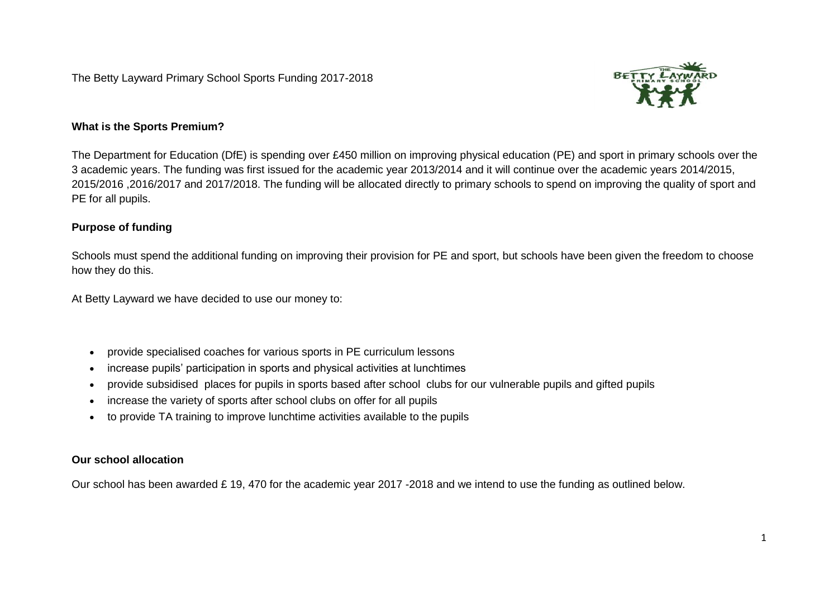The Betty Layward Primary School Sports Funding 2017-2018



## **What is the Sports Premium?**

The Department for Education (DfE) is spending over £450 million on improving physical education (PE) and sport in primary schools over the 3 academic years. The funding was first issued for the academic year 2013/2014 and it will continue over the academic years 2014/2015, 2015/2016 ,2016/2017 and 2017/2018. The funding will be allocated directly to primary schools to spend on improving the quality of sport and PE for all pupils.

## **Purpose of funding**

Schools must spend the additional funding on improving their provision for PE and sport, but schools have been given the freedom to choose how they do this.

At Betty Layward we have decided to use our money to:

- provide specialised coaches for various sports in PE curriculum lessons
- increase pupils' participation in sports and physical activities at lunchtimes
- provide subsidised places for pupils in sports based after school clubs for our vulnerable pupils and gifted pupils
- increase the variety of sports after school clubs on offer for all pupils
- to provide TA training to improve lunchtime activities available to the pupils

## **Our school allocation**

Our school has been awarded £ 19, 470 for the academic year 2017 -2018 and we intend to use the funding as outlined below.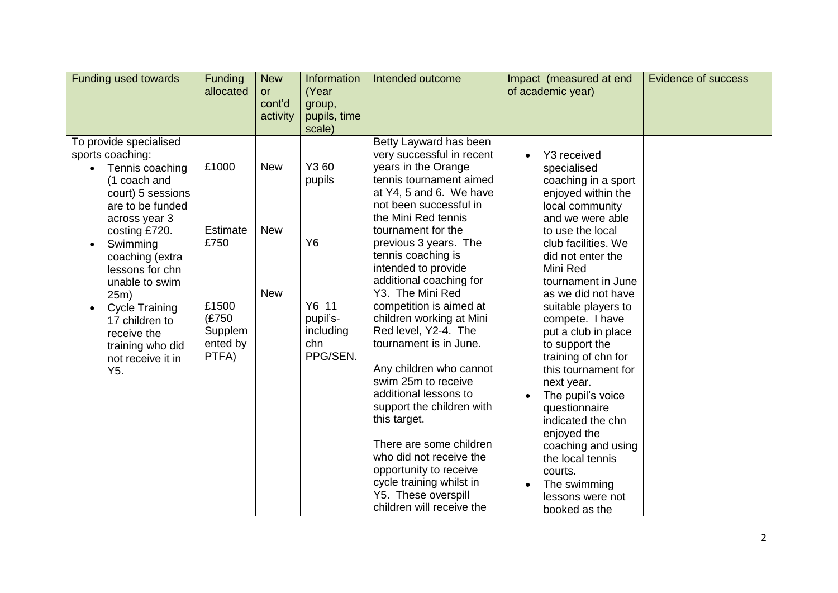| <b>Funding used towards</b>                                                                                                                                                                                                                                                                                                                                 | Funding<br>allocated                                         | <b>New</b><br><b>or</b><br>cont'd<br>activity     | Information<br>(Year<br>group,<br>pupils, time<br>scale)                                                                                                                                                                                                                                                  | Intended outcome                                                                                                                                                                                                                                               | Impact (measured at end<br>of academic year)                                                                                                              | <b>Evidence of success</b> |
|-------------------------------------------------------------------------------------------------------------------------------------------------------------------------------------------------------------------------------------------------------------------------------------------------------------------------------------------------------------|--------------------------------------------------------------|---------------------------------------------------|-----------------------------------------------------------------------------------------------------------------------------------------------------------------------------------------------------------------------------------------------------------------------------------------------------------|----------------------------------------------------------------------------------------------------------------------------------------------------------------------------------------------------------------------------------------------------------------|-----------------------------------------------------------------------------------------------------------------------------------------------------------|----------------------------|
| To provide specialised<br>sports coaching:<br>Tennis coaching<br>(1 coach and<br>court) 5 sessions<br>are to be funded<br>across year 3<br>costing £720.<br>Swimming<br>$\bullet$<br>coaching (extra<br>lessons for chn<br>unable to swim<br>25m)<br><b>Cycle Training</b><br>17 children to<br>receive the<br>training who did<br>not receive it in<br>Y5. | £1000<br><b>Estimate</b><br>£750                             | <b>New</b><br><b>New</b>                          | Y3 60<br>pupils<br>Y6                                                                                                                                                                                                                                                                                     | Betty Layward has been<br>very successful in recent<br>years in the Orange<br>tennis tournament aimed<br>at Y4, 5 and 6. We have<br>not been successful in<br>the Mini Red tennis<br>tournament for the<br>previous 3 years. The                               | Y3 received<br>specialised<br>coaching in a sport<br>enjoyed within the<br>local community<br>and we were able<br>to use the local<br>club facilities. We |                            |
|                                                                                                                                                                                                                                                                                                                                                             | <b>New</b><br>£1500<br>(£750<br>Supplem<br>ented by<br>PTFA) | Y6 11<br>pupil's-<br>including<br>chn<br>PPG/SEN. | tennis coaching is<br>intended to provide<br>additional coaching for<br>Y3. The Mini Red<br>competition is aimed at<br>children working at Mini<br>Red level, Y2-4. The<br>tournament is in June.<br>Any children who cannot<br>swim 25m to receive<br>additional lessons to<br>support the children with | did not enter the<br>Mini Red<br>tournament in June<br>as we did not have<br>suitable players to<br>compete. I have<br>put a club in place<br>to support the<br>training of chn for<br>this tournament for<br>next year.<br>The pupil's voice<br>questionnaire |                                                                                                                                                           |                            |
|                                                                                                                                                                                                                                                                                                                                                             |                                                              |                                                   |                                                                                                                                                                                                                                                                                                           | this target.<br>There are some children<br>who did not receive the<br>opportunity to receive<br>cycle training whilst in<br>Y5. These overspill<br>children will receive the                                                                                   | indicated the chn<br>enjoyed the<br>coaching and using<br>the local tennis<br>courts.<br>The swimming<br>lessons were not<br>booked as the                |                            |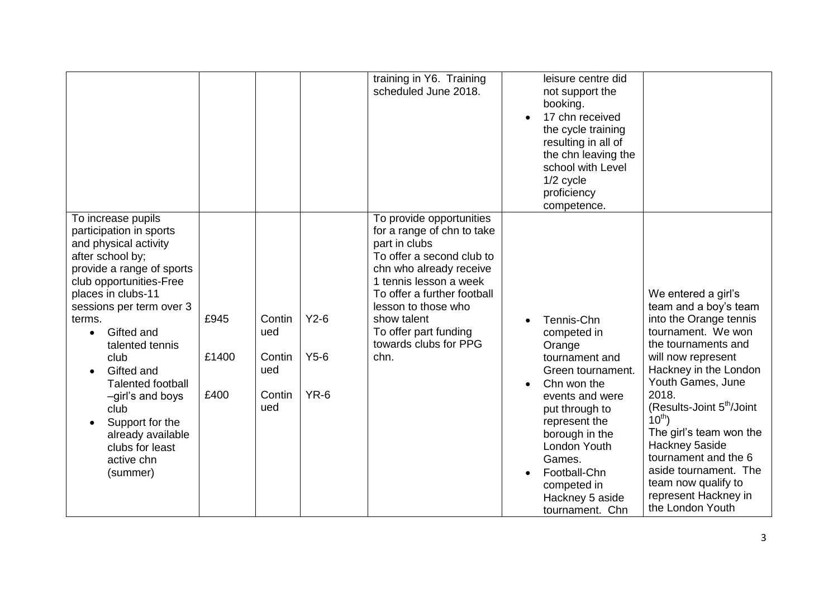|                                                                                                                                                                                                                                                                                                                                                                                                                                 |                       |                                                 |                            | training in Y6. Training<br>scheduled June 2018.                                                                                                                                                                                                                                         | leisure centre did<br>not support the<br>booking.<br>17 chn received<br>the cycle training<br>resulting in all of<br>the chn leaving the<br>school with Level<br>1/2 cycle<br>proficiency<br>competence.                                                                                                                                                                                                                                                                                                                                                                                                                                                                                      |
|---------------------------------------------------------------------------------------------------------------------------------------------------------------------------------------------------------------------------------------------------------------------------------------------------------------------------------------------------------------------------------------------------------------------------------|-----------------------|-------------------------------------------------|----------------------------|------------------------------------------------------------------------------------------------------------------------------------------------------------------------------------------------------------------------------------------------------------------------------------------|-----------------------------------------------------------------------------------------------------------------------------------------------------------------------------------------------------------------------------------------------------------------------------------------------------------------------------------------------------------------------------------------------------------------------------------------------------------------------------------------------------------------------------------------------------------------------------------------------------------------------------------------------------------------------------------------------|
| To increase pupils<br>participation in sports<br>and physical activity<br>after school by;<br>provide a range of sports<br>club opportunities-Free<br>places in clubs-11<br>sessions per term over 3<br>terms.<br>Gifted and<br>$\bullet$<br>talented tennis<br>club<br>Gifted and<br><b>Talented football</b><br>-girl's and boys<br>club<br>Support for the<br>already available<br>clubs for least<br>active chn<br>(summer) | £945<br>£1400<br>£400 | Contin<br>ued<br>Contin<br>ued<br>Contin<br>ued | $Y2-6$<br>$Y5-6$<br>$YR-6$ | To provide opportunities<br>for a range of chn to take<br>part in clubs<br>To offer a second club to<br>chn who already receive<br>1 tennis lesson a week<br>To offer a further football<br>lesson to those who<br>show talent<br>To offer part funding<br>towards clubs for PPG<br>chn. | We entered a girl's<br>team and a boy's team<br>into the Orange tennis<br>Tennis-Chn<br>tournament. We won<br>competed in<br>the tournaments and<br>Orange<br>will now represent<br>tournament and<br>Hackney in the London<br>Green tournament.<br>Youth Games, June<br>Chn won the<br>2018.<br>events and were<br>(Results-Joint 5 <sup>th</sup> /Joint<br>put through to<br>$10^{th}$ )<br>represent the<br>The girl's team won the<br>borough in the<br>Hackney 5aside<br>London Youth<br>tournament and the 6<br>Games.<br>aside tournament. The<br>Football-Chn<br>team now qualify to<br>competed in<br>represent Hackney in<br>Hackney 5 aside<br>the London Youth<br>tournament. Chn |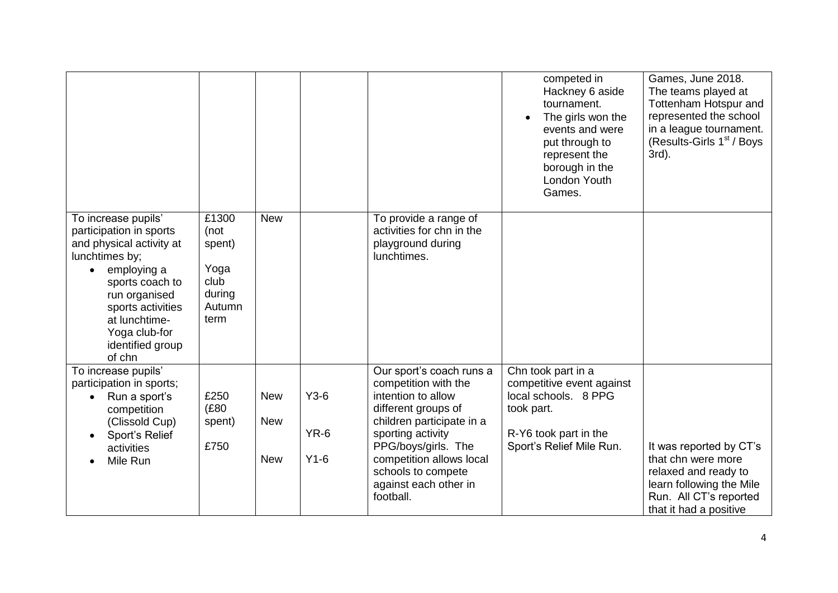|                                                                                                                                                                                                                                      |                                                                     |                                        |                            |                                                                                                                                                                                                                                                                | competed in<br>Hackney 6 aside<br>tournament.<br>The girls won the<br>events and were<br>put through to<br>represent the<br>borough in the<br>London Youth<br>Games. | Games, June 2018.<br>The teams played at<br>Tottenham Hotspur and<br>represented the school<br>in a league tournament.<br>(Results-Girls 1 <sup>st</sup> / Boys<br>3rd). |
|--------------------------------------------------------------------------------------------------------------------------------------------------------------------------------------------------------------------------------------|---------------------------------------------------------------------|----------------------------------------|----------------------------|----------------------------------------------------------------------------------------------------------------------------------------------------------------------------------------------------------------------------------------------------------------|----------------------------------------------------------------------------------------------------------------------------------------------------------------------|--------------------------------------------------------------------------------------------------------------------------------------------------------------------------|
| To increase pupils'<br>participation in sports<br>and physical activity at<br>lunchtimes by;<br>employing a<br>sports coach to<br>run organised<br>sports activities<br>at lunchtime-<br>Yoga club-for<br>identified group<br>of chn | £1300<br>(not<br>spent)<br>Yoga<br>club<br>during<br>Autumn<br>term | <b>New</b>                             |                            | To provide a range of<br>activities for chn in the<br>playground during<br>lunchtimes.                                                                                                                                                                         |                                                                                                                                                                      |                                                                                                                                                                          |
| To increase pupils'<br>participation in sports;<br>Run a sport's<br>competition<br>(Clissold Cup)<br>Sport's Relief<br>activities<br>Mile Run                                                                                        | £250<br>(£80<br>spent)<br>£750                                      | <b>New</b><br><b>New</b><br><b>New</b> | $Y3-6$<br>$YR-6$<br>$Y1-6$ | Our sport's coach runs a<br>competition with the<br>intention to allow<br>different groups of<br>children participate in a<br>sporting activity<br>PPG/boys/girls. The<br>competition allows local<br>schools to compete<br>against each other in<br>football. | Chn took part in a<br>competitive event against<br>local schools. 8 PPG<br>took part.<br>R-Y6 took part in the<br>Sport's Relief Mile Run.                           | It was reported by CT's<br>that chn were more<br>relaxed and ready to<br>learn following the Mile<br>Run. All CT's reported<br>that it had a positive                    |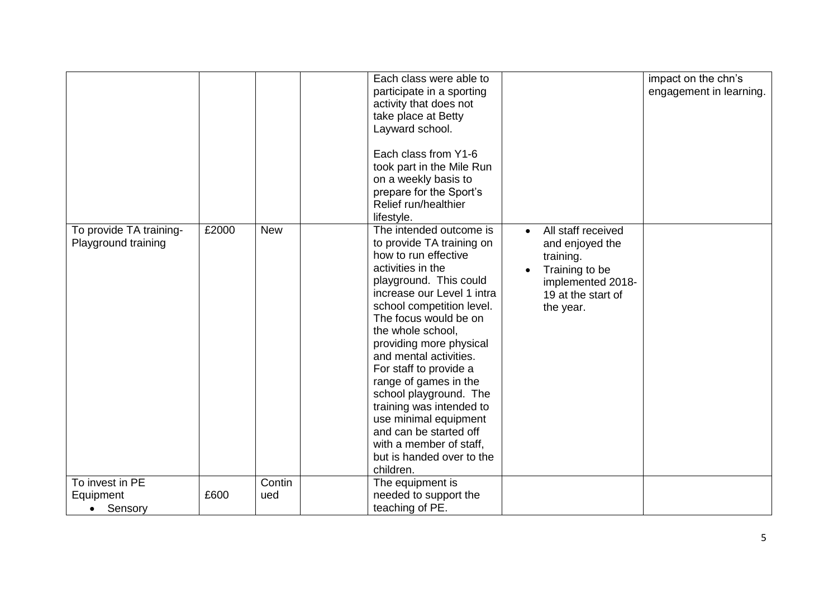|                                                |       |            | activity that does not<br>take place at Betty<br>Layward school.<br>Each class from Y1-6<br>on a weekly basis to<br>prepare for the Sport's<br>Relief run/healthier                                                                    | Each class were able to<br>participate in a sporting<br>took part in the Mile Run                                                                                                                                                                                                |                                                                                                                              | impact on the chn's<br>engagement in learning. |
|------------------------------------------------|-------|------------|----------------------------------------------------------------------------------------------------------------------------------------------------------------------------------------------------------------------------------------|----------------------------------------------------------------------------------------------------------------------------------------------------------------------------------------------------------------------------------------------------------------------------------|------------------------------------------------------------------------------------------------------------------------------|------------------------------------------------|
|                                                |       |            | lifestyle.                                                                                                                                                                                                                             |                                                                                                                                                                                                                                                                                  |                                                                                                                              |                                                |
| To provide TA training-<br>Playground training | £2000 | <b>New</b> | how to run effective<br>activities in the<br>The focus would be on<br>the whole school,<br>and mental activities.<br>For staff to provide a<br>range of games in the<br>and can be started off<br>with a member of staff,<br>children. | The intended outcome is<br>to provide TA training on<br>playground. This could<br>increase our Level 1 intra<br>school competition level.<br>providing more physical<br>school playground. The<br>training was intended to<br>use minimal equipment<br>but is handed over to the | All staff received<br>and enjoyed the<br>training.<br>Training to be<br>implemented 2018-<br>19 at the start of<br>the year. |                                                |
| To invest in PE                                |       | Contin     | The equipment is                                                                                                                                                                                                                       |                                                                                                                                                                                                                                                                                  |                                                                                                                              |                                                |
| Equipment<br>Sensory<br>$\bullet$              | £600  | ued        | needed to support the<br>teaching of PE.                                                                                                                                                                                               |                                                                                                                                                                                                                                                                                  |                                                                                                                              |                                                |